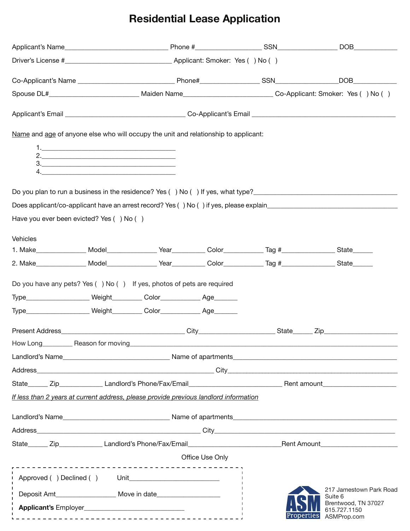# **Residential Lease Application**

|                                                                                       |    |  |                 |                                                                                                                       | DOB <sub>c</sub> and the set of the set of the set of the set of the set of the set of the set of the set of the set of the set of the set of the set of the set of the set of the set of the set of the set of the set of the set of th |  |
|---------------------------------------------------------------------------------------|----|--|-----------------|-----------------------------------------------------------------------------------------------------------------------|------------------------------------------------------------------------------------------------------------------------------------------------------------------------------------------------------------------------------------------|--|
|                                                                                       |    |  |                 |                                                                                                                       |                                                                                                                                                                                                                                          |  |
|                                                                                       |    |  |                 |                                                                                                                       |                                                                                                                                                                                                                                          |  |
|                                                                                       |    |  |                 | Spouse DL#_________________________________Maiden Name_____________________________Co-Applicant: Smoker: Yes () No () |                                                                                                                                                                                                                                          |  |
|                                                                                       |    |  |                 |                                                                                                                       |                                                                                                                                                                                                                                          |  |
| Name and age of anyone else who will occupy the unit and relationship to applicant:   |    |  |                 |                                                                                                                       |                                                                                                                                                                                                                                          |  |
|                                                                                       |    |  |                 |                                                                                                                       |                                                                                                                                                                                                                                          |  |
|                                                                                       | 3. |  |                 |                                                                                                                       |                                                                                                                                                                                                                                          |  |
|                                                                                       |    |  |                 |                                                                                                                       |                                                                                                                                                                                                                                          |  |
|                                                                                       |    |  |                 |                                                                                                                       | Do you plan to run a business in the residence? Yes () No () If yes, what type?                                                                                                                                                          |  |
|                                                                                       |    |  |                 |                                                                                                                       | Does applicant/co-applicant have an arrest record? Yes () No () if yes, please explain                                                                                                                                                   |  |
| Have you ever been evicted? Yes () No ()                                              |    |  |                 |                                                                                                                       |                                                                                                                                                                                                                                          |  |
| Vehicles                                                                              |    |  |                 |                                                                                                                       |                                                                                                                                                                                                                                          |  |
|                                                                                       |    |  |                 | 1. Make_________________ Model________________Year____________Color_____________Tag #________________State______      |                                                                                                                                                                                                                                          |  |
|                                                                                       |    |  |                 |                                                                                                                       |                                                                                                                                                                                                                                          |  |
|                                                                                       |    |  |                 |                                                                                                                       |                                                                                                                                                                                                                                          |  |
| Do you have any pets? Yes () No () If yes, photos of pets are required                |    |  |                 |                                                                                                                       |                                                                                                                                                                                                                                          |  |
| Type______________________ Weight__________ Color_____________ Age________            |    |  |                 |                                                                                                                       |                                                                                                                                                                                                                                          |  |
| Type______________________ Weight__________ Color_____________ Age________            |    |  |                 |                                                                                                                       |                                                                                                                                                                                                                                          |  |
|                                                                                       |    |  |                 |                                                                                                                       |                                                                                                                                                                                                                                          |  |
| How Long____________ Reason for moving_                                               |    |  |                 |                                                                                                                       |                                                                                                                                                                                                                                          |  |
|                                                                                       |    |  |                 |                                                                                                                       |                                                                                                                                                                                                                                          |  |
|                                                                                       |    |  |                 |                                                                                                                       |                                                                                                                                                                                                                                          |  |
|                                                                                       |    |  |                 |                                                                                                                       |                                                                                                                                                                                                                                          |  |
| If less than 2 years at current address, please provide previous landlord information |    |  |                 |                                                                                                                       |                                                                                                                                                                                                                                          |  |
|                                                                                       |    |  |                 |                                                                                                                       |                                                                                                                                                                                                                                          |  |
|                                                                                       |    |  |                 |                                                                                                                       |                                                                                                                                                                                                                                          |  |
|                                                                                       |    |  |                 |                                                                                                                       |                                                                                                                                                                                                                                          |  |
|                                                                                       |    |  | Office Use Only |                                                                                                                       |                                                                                                                                                                                                                                          |  |
|                                                                                       |    |  |                 |                                                                                                                       |                                                                                                                                                                                                                                          |  |
|                                                                                       |    |  |                 |                                                                                                                       | 217 Jamestown Park Road<br>Suite 6                                                                                                                                                                                                       |  |
| Applicant's Employer                                                                  |    |  |                 |                                                                                                                       | Brentwood, TN 37027<br>615.727.1150<br>Properties ASMProp.com                                                                                                                                                                            |  |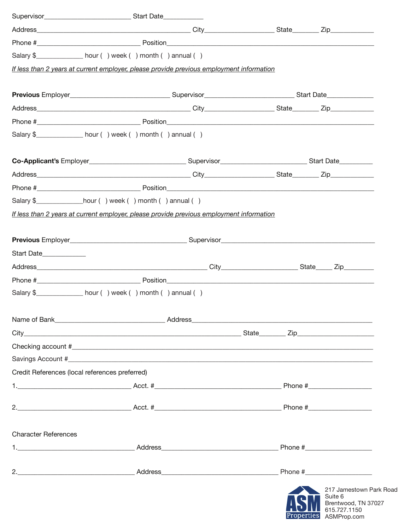|                                                | Salary \$_______________ hour () week () month () annual ()                              |  |  |                                                   |
|------------------------------------------------|------------------------------------------------------------------------------------------|--|--|---------------------------------------------------|
|                                                | If less than 2 years at current employer, please provide previous employment information |  |  |                                                   |
|                                                |                                                                                          |  |  |                                                   |
|                                                |                                                                                          |  |  |                                                   |
|                                                |                                                                                          |  |  |                                                   |
|                                                |                                                                                          |  |  |                                                   |
|                                                | Salary \$________________ hour () week () month () annual ()                             |  |  |                                                   |
|                                                |                                                                                          |  |  |                                                   |
|                                                |                                                                                          |  |  |                                                   |
|                                                |                                                                                          |  |  |                                                   |
|                                                | Salary $\frac{1}{2}$ _____________________hour () week () month () annual ()             |  |  |                                                   |
|                                                | If less than 2 years at current employer, please provide previous employment information |  |  |                                                   |
|                                                |                                                                                          |  |  |                                                   |
|                                                |                                                                                          |  |  |                                                   |
| Start Date                                     |                                                                                          |  |  |                                                   |
|                                                |                                                                                          |  |  |                                                   |
|                                                |                                                                                          |  |  |                                                   |
|                                                | Salary \$________________ hour () week () month () annual ()                             |  |  |                                                   |
|                                                | Name of Bank_______________________________Address_______________________________        |  |  |                                                   |
|                                                |                                                                                          |  |  |                                                   |
|                                                |                                                                                          |  |  |                                                   |
|                                                |                                                                                          |  |  |                                                   |
| Credit References (local references preferred) |                                                                                          |  |  |                                                   |
|                                                |                                                                                          |  |  |                                                   |
|                                                |                                                                                          |  |  |                                                   |
|                                                |                                                                                          |  |  |                                                   |
| <b>Character References</b>                    |                                                                                          |  |  |                                                   |
|                                                |                                                                                          |  |  |                                                   |
|                                                |                                                                                          |  |  |                                                   |
|                                                |                                                                                          |  |  | 217 Jamestown Par<br>Suite 6<br>Brentwood, TN 370 |

rk Road 127 **FOLL** 615.727.1150<br>Properties ASMProp.com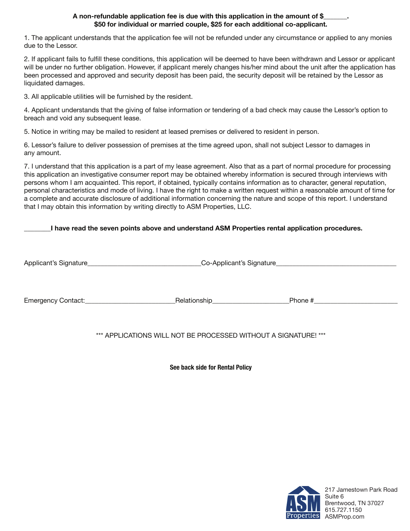#### **A non-refundable application fee is due with this application in the amount of \$\_\_\_\_\_\_\_. \$50 for individual or married couple, \$25 for each additional co-applicant.**

1. The applicant understands that the application fee will not be refunded under any circumstance or applied to any monies due to the Lessor.

2. If applicant fails to fulfill these conditions, this application will be deemed to have been withdrawn and Lessor or applicant will be under no further obligation. However, if applicant merely changes his/her mind about the unit after the application has been processed and approved and security deposit has been paid, the security deposit will be retained by the Lessor as liquidated damages.

3. All applicable utilities will be furnished by the resident.

4. Applicant understands that the giving of false information or tendering of a bad check may cause the Lessor's option to breach and void any subsequent lease.

5. Notice in writing may be mailed to resident at leased premises or delivered to resident in person.

6. Lessor's failure to deliver possession of premises at the time agreed upon, shall not subject Lessor to damages in any amount.

7. I understand that this application is a part of my lease agreement. Also that as a part of normal procedure for processing this application an investigative consumer report may be obtained whereby information is secured through interviews with persons whom I am acquainted. This report, if obtained, typically contains information as to character, general reputation, personal characteristics and mode of living. I have the right to make a written request within a reasonable amount of time for a complete and accurate disclosure of additional information concerning the nature and scope of this report. I understand that I may obtain this information by writing directly to ASM Properties, LLC.

### **\_\_\_\_\_\_\_\_I have read the seven points above and understand ASM Properties rental application procedures.**

Applicant's Signature\_\_\_\_\_\_\_\_\_\_\_\_\_\_\_\_\_\_\_\_\_\_\_\_\_\_\_\_\_\_\_\_\_\_Co-Applicant's Signature\_\_\_\_\_\_\_\_\_\_\_\_\_\_\_\_\_\_\_\_\_\_\_\_\_\_\_\_\_\_\_\_\_\_\_\_

Emergency Contact:\_\_\_\_\_\_\_\_\_\_\_\_\_\_\_\_\_\_\_\_\_\_\_\_\_\_\_Relationship\_\_\_\_\_\_\_\_\_\_\_\_\_\_\_\_\_\_\_\_\_\_\_Phone #\_\_\_\_\_\_\_\_\_\_\_\_\_\_\_\_\_\_\_\_\_\_\_\_\_

\*\*\* APPLICATIONS WILL NOT BE PROCESSED WITHOUT A SIGNATURE! \*\*\*

**See back side for Rental Policy** 

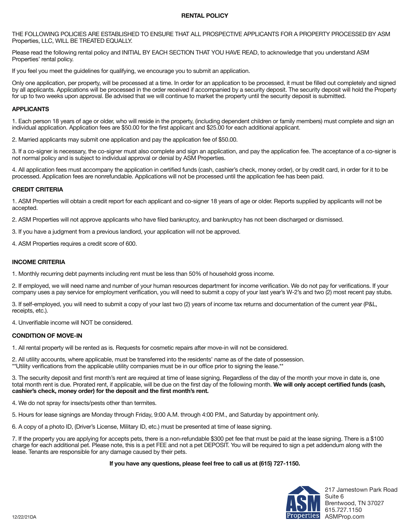#### **RENTAL POLICY**

THE FOLLOWING POLICIES ARE ESTABLISHED TO ENSURE THAT ALL PROSPECTIVE APPLICANTS FOR A PROPERTY PROCESSED BY ASM Properties, LLC, WILL BE TREATED EQUALLY.

Please read the following rental policy and INITIAL BY EACH SECTION THAT YOU HAVE READ, to acknowledge that you understand ASM Properties' rental policy.

If you feel you meet the guidelines for qualifying, we encourage you to submit an application.

Only one application, per property, will be processed at a time. In order for an application to be processed, it must be filled out completely and signed by all applicants. Applications will be processed in the order received if accompanied by a security deposit. The security deposit will hold the Property for up to two weeks upon approval. Be advised that we will continue to market the property until the security deposit is submitted.

#### **APPLICANTS**

1. Each person 18 years of age or older, who will reside in the property, (including dependent children or family members) must complete and sign an individual application. Application fees are \$50.00 for the first applicant and \$25.00 for each additional applicant.

2. Married applicants may submit one application and pay the application fee of \$50.00.

3. If a co-signer is necessary, the co-signer must also complete and sign an application, and pay the application fee. The acceptance of a co-signer is not normal policy and is subject to individual approval or denial by ASM Properties.

4. All application fees must accompany the application in certified funds (cash, cashier's check, money order), or by credit card, in order for it to be processed. Application fees are nonrefundable. Applications will not be processed until the application fee has been paid.

#### **CREDIT CRITERIA**

1. ASM Properties will obtain a credit report for each applicant and co-signer 18 years of age or older. Reports supplied by applicants will not be accepted.

2. ASM Properties will not approve applicants who have filed bankruptcy, and bankruptcy has not been discharged or dismissed.

3. If you have a judgment from a previous landlord, your application will not be approved.

4. ASM Properties requires a credit score of 600.

#### **INCOME CRITERIA**

1. Monthly recurring debt payments including rent must be less than 50% of household gross income.

2. If employed, we will need name and number of your human resources department for income verification. We do not pay for verifications. If your company uses a pay service for employment verification, you will need to submit a copy of your last year's W-2's and two (2) most recent pay stubs.

3. If self-employed, you will need to submit a copy of your last two (2) years of income tax returns and documentation of the current year (P&L, receipts, etc.).

4. Unverifiable income will NOT be considered.

#### **CONDITION OF MOVE-IN**

1. All rental property will be rented as is. Requests for cosmetic repairs after move-in will not be considered.

2. All utility accounts, where applicable, must be transferred into the residents' name as of the date of possession. \*\*Utility verifications from the applicable utility companies must be in our office prior to signing the lease.\*\*

3. The security deposit and first month's rent are required at time of lease signing. Regardless of the day of the month your move in date is, one total month rent is due. Prorated rent, if applicable, will be due on the first day of the following month. **We will only accept certified funds (cash, cashier's check, money order) for the deposit and the first month's rent.** 

4. We do not spray for insects/pests other than termites.

5. Hours for lease signings are Monday through Friday, 9:00 A.M. through 4:00 P.M., and Saturday by appointment only.

6. A copy of a photo ID, (Driver's License, Military ID, etc.) must be presented at time of lease signing.

7. If the property you are applying for accepts pets, there is a non-refundable \$300 pet fee that must be paid at the lease signing. There is a \$100 charge for each additional pet. Please note, this is a pet FEE and not a pet DEPOSIT. You will be required to sign a pet addendum along with the lease. Tenants are responsible for any damage caused by their pets.

#### **If you have any questions, please feel free to call us at (615) 727-1150.**



217 Jamestown Park Road Suite 6 Brentwood, TN 37027 615.727.1150